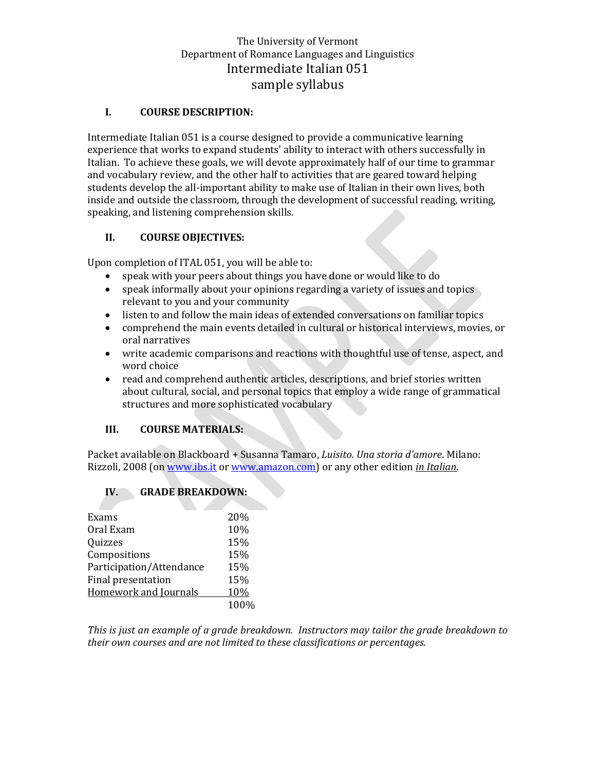# The University of Vermont Department of Romance Languages and Linguistics Intermediate Italian 051 sample syllabus

#### **I. COURSE DESCRIPTION:**

Intermediate Italian 051 is a course designed to provide a communicative learning experience that works to expand students' ability to interact with others successfully in Italian. To achieve these goals, we will devote approximately half of our time to grammar and vocabulary review, and the other half to activities that are geared toward helping students develop the all-important ability to make use of Italian in their own lives, both inside and outside the classroom, through the development of successful reading, writing, speaking, and listening comprehension skills.

### **II. COURSE OBJECTIVES:**

Upon completion of ITAL 051, you will be able to:

- speak with your peers about things you have done or would like to do
- speak informally about your opinions regarding a variety of issues and topics relevant to you and your community
- listen to and follow the main ideas of extended conversations on familiar topics
- comprehend the main events detailed in cultural or historical interviews, movies, or oral narratives
- write academic comparisons and reactions with thoughtful use of tense, aspect, and word choice
- read and comprehend authentic articles, descriptions, and brief stories written about cultural, social, and personal topics that employ a wide range of grammatical structures and more sophisticated vocabulary

### **III. COURSE MATERIALS:**

Packet available on Blackboard + Susanna Tamaro, *Luisito. Una storia d'amore*. Milano: Rizzoli, 2008 (on [www.ibs.it](http://www.ibs.it/) o[r www.amazon.com\)](http://www.amazon.com/) or any other edition *in Italian*.

### **IV. GRADE BREAKDOWN:**

| Exams                        | 20%  |
|------------------------------|------|
| Oral Exam                    | 10%  |
| Quizzes                      | 15%  |
| Compositions                 | 15%  |
| Participation/Attendance     | 15%  |
| Final presentation           | 15%  |
| <b>Homework and Journals</b> | 10%  |
|                              | 100% |

*This is just an example of a grade breakdown. Instructors may tailor the grade breakdown to their own courses and are not limited to these classifications or percentages.*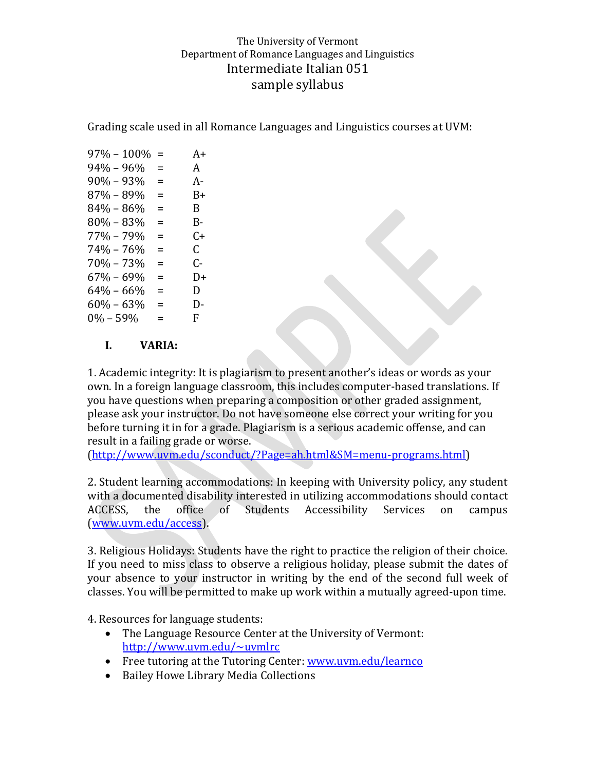# The University of Vermont Department of Romance Languages and Linguistics Intermediate Italian 051 sample syllabus

Grading scale used in all Romance Languages and Linguistics courses at UVM:

| $97\% - 100\%$ | =        | $A+$ |
|----------------|----------|------|
| 94% – 96%      | =        | A    |
| $90\% - 93\%$  | =        | А-   |
| 87% – 89%      | $\equiv$ | B+   |
| $84\% - 86\%$  | $\equiv$ | B.   |
| $80\% - 83\%$  | =        | B-   |
| $77\% - 79\%$  | $\equiv$ | C+   |
| $74\% - 76\%$  | =        | C.   |
| $70\% - 73\%$  | $=$      | ር-   |
| $67\% - 69\%$  | =        | D+   |
| $64\% - 66\%$  | $=$      | D    |
| $60\% - 63\%$  | Ξ        | D-   |
| $0\% - 59\%$   | =        | F.   |
|                |          |      |

### **I. VARIA:**

1. Academic integrity: It is plagiarism to present another's ideas or words as your own. In a foreign language classroom, this includes computer-based translations. If you have questions when preparing a composition or other graded assignment, please ask your instructor. Do not have someone else correct your writing for you before turning it in for a grade. Plagiarism is a serious academic offense, and can result in a failing grade or worse.

[\(http://www.uvm.edu/sconduct/?Page=ah.html&SM=menu-programs.html\)](http://www.uvm.edu/sconduct/?Page=ah.html&SM=menu-programs.html)

2. Student learning accommodations: In keeping with University policy, any student with a documented disability interested in utilizing accommodations should contact ACCESS, the office of Students Accessibility Services on campus [\(www.uvm.edu/access\)](http://www.uvm.edu/access).

3. Religious Holidays: Students have the right to practice the religion of their choice. If you need to miss class to observe a religious holiday, please submit the dates of your absence to your instructor in writing by the end of the second full week of classes. You will be permitted to make up work within a mutually agreed-upon time.

4. Resources for language students:

- The Language Resource Center at the University of Vermont: <http://www.uvm.edu/~uvmlrc>
- Free tutoring at the Tutoring Center: [www.uvm.edu/learnco](http://www.uvm.edu/learnco)
- Bailey Howe Library Media Collections